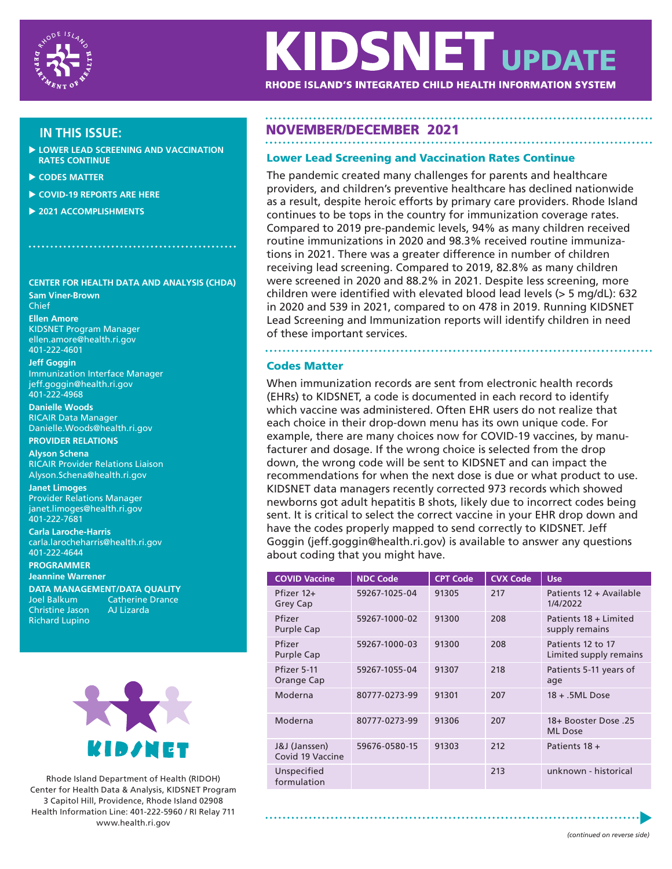

# **KIDSNET UPDATE**

RHODE ISLAND'S INTEGRATED CHILD HEALTH INFORMATION SYSTEM

- **LOWER LEAD SCREENING AND VACCINATION RATES CONTINUE**
- **CODES MATTER**
- **COVID-19 REPORTS ARE HERE**
- **2021 ACCOMPLISHMENTS**

# **CENTER FOR HEALTH DATA AND ANALYSIS (CHDA)**

**Sam Viner-Brown** Chief **Ellen Amore** KIDSNET Program Manager ellen.amore@health.ri.gov 401-222-4601

**Jeff Goggin** Immunization Interface Manager jeff.goggin@health.ri.gov 401-222-4968

**Danielle Woods**  RICAIR Data Manager Danielle.Woods@health.ri.gov

## **PROVIDER RELATIONS Alyson Schena**

RICAIR Provider Relations Liaison Alyson.Schena@health.ri.gov

**Janet Limoges** Provider Relations Manager janet.limoges@health.ri.gov 401-222-7681

**Carla Laroche-Harris** carla.larocheharris@health.ri.gov 401-222-4644 **PROGRAMMER**

**Jeannine Warrener DATA MANAGEMENT/DATA QUALITY** Joel Balkum Catherine Drance

Christine Jason AJ Lizarda Richard Lupino



Rhode Island Department of Health (RIDOH) Center for Health Data & Analysis, KIDSNET Program 3 Capitol Hill, Providence, Rhode Island 02908 Health Information Line: 401-222-5960 / RI Relay 711 www.health.ri.gov

# **IN THIS ISSUE:** NOVEMBER/DECEMBER 2021

# Lower Lead Screening and Vaccination Rates Continue

The pandemic created many challenges for parents and healthcare providers, and children's preventive healthcare has declined nationwide as a result, despite heroic efforts by primary care providers. Rhode Island continues to be tops in the country for immunization coverage rates. Compared to 2019 pre-pandemic levels, 94% as many children received routine immunizations in 2020 and 98.3% received routine immunizations in 2021. There was a greater difference in number of children receiving lead screening. Compared to 2019, 82.8% as many children were screened in 2020 and 88.2% in 2021. Despite less screening, more children were identified with elevated blood lead levels (> 5 mg/dL): 632 in 2020 and 539 in 2021, compared to on 478 in 2019. Running KIDSNET Lead Screening and Immunization reports will identify children in need of these important services.

# Codes Matter

When immunization records are sent from electronic health records (EHRs) to KIDSNET, a code is documented in each record to identify which vaccine was administered. Often EHR users do not realize that each choice in their drop-down menu has its own unique code. For example, there are many choices now for COVID-19 vaccines, by manufacturer and dosage. If the wrong choice is selected from the drop down, the wrong code will be sent to KIDSNET and can impact the recommendations for when the next dose is due or what product to use. KIDSNET data managers recently corrected 973 records which showed newborns got adult hepatitis B shots, likely due to incorrect codes being sent. It is critical to select the correct vaccine in your EHR drop down and have the codes properly mapped to send correctly to KIDSNET. Jeff Goggin (jeff.goggin@health.ri.gov) is available to answer any questions about coding that you might have.

| <b>COVID Vaccine</b>              | <b>NDC Code</b> | <b>CPT Code</b> | <b>CVX Code</b> | <b>Use</b>                                  |
|-----------------------------------|-----------------|-----------------|-----------------|---------------------------------------------|
| Pfizer 12+<br>Grey Cap            | 59267-1025-04   | 91305           | 217             | Patients 12 + Available<br>1/4/2022         |
| Pfizer<br>Purple Cap              | 59267-1000-02   | 91300           | 208             | Patients 18 + Limited<br>supply remains     |
| Pfizer<br>Purple Cap              | 59267-1000-03   | 91300           | 208             | Patients 12 to 17<br>Limited supply remains |
| Pfizer 5-11<br>Orange Cap         | 59267-1055-04   | 91307           | 218             | Patients 5-11 years of<br>age               |
| Moderna                           | 80777-0273-99   | 91301           | 207             | $18 + .5ML$ Dose                            |
| Moderna                           | 80777-0273-99   | 91306           | 207             | 18+ Booster Dose .25<br><b>ML</b> Dose      |
| J&J (Janssen)<br>Covid 19 Vaccine | 59676-0580-15   | 91303           | 212             | Patients 18 +                               |
| Unspecified<br>formulation        |                 |                 | 213             | unknown - historical                        |